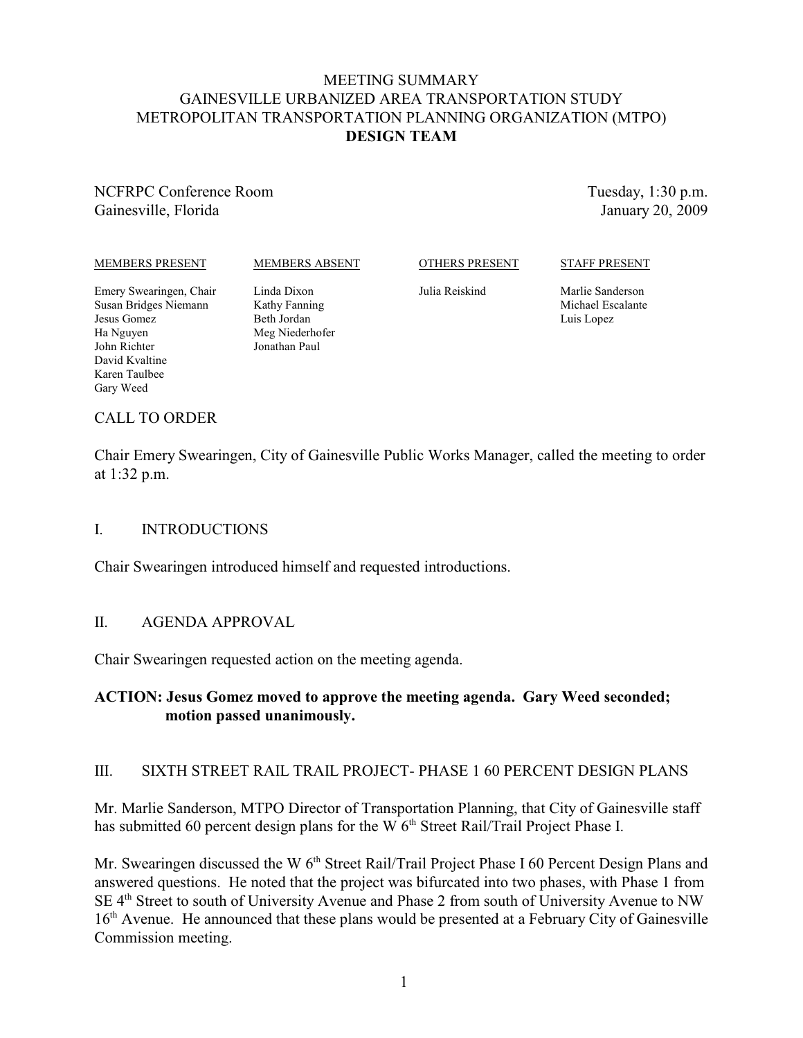## MEETING SUMMARY GAINESVILLE URBANIZED AREA TRANSPORTATION STUDY METROPOLITAN TRANSPORTATION PLANNING ORGANIZATION (MTPO) **DESIGN TEAM**

NCFRPC Conference Room Gainesville, Florida

Tuesday, 1:30 p.m. January 20, 2009

#### MEMBERS PRESENT

#### MEMBERS ABSENT

OTHERS PRESENT

#### STAFF PRESENT

Julia Reiskind

Marlie Sanderson Michael Escalante Luis Lopez

#### Emery Swearingen, Chair Susan Bridges Niemann Jesus Gomez Ha Nguyen John Richter David Kvaltine Karen Taulbee Gary Weed

Beth Jordan Meg Niederhofer Jonathan Paul

Linda Dixon Kathy Fanning

# CALL TO ORDER

Chair Emery Swearingen, City of Gainesville Public Works Manager, called the meeting to order at 1:32 p.m.

### I. INTRODUCTIONS

Chair Swearingen introduced himself and requested introductions.

### II. AGENDA APPROVAL

Chair Swearingen requested action on the meeting agenda.

### **ACTION: Jesus Gomez moved to approve the meeting agenda. Gary Weed seconded; motion passed unanimously.**

### III. SIXTH STREET RAIL TRAIL PROJECT- PHASE 1 60 PERCENT DESIGN PLANS

Mr. Marlie Sanderson, MTPO Director of Transportation Planning, that City of Gainesville staff has submitted 60 percent design plans for the W  $6<sup>th</sup>$  Street Rail/Trail Project Phase I.

Mr. Swearingen discussed the W 6<sup>th</sup> Street Rail/Trail Project Phase I 60 Percent Design Plans and answered questions. He noted that the project was bifurcated into two phases, with Phase 1 from SE 4<sup>th</sup> Street to south of University Avenue and Phase 2 from south of University Avenue to NW 16<sup>th</sup> Avenue. He announced that these plans would be presented at a February City of Gainesville Commission meeting.